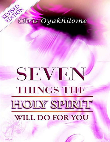## REVISOR Chris Oyakhilome

# SEVEN **THINGS THE HOILY SPIRIT** WILL DO FOR YOU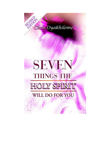

## SEVEN **THINGS THE HOLY SPIRIT** WILL DO FOR YOU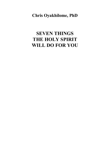**Chris Oyakhilome, PhD**

## **SEVEN THINGS THE HOLY SPIRIT WILL DO FOR YOU**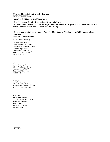**7 Things The Holy Spirit Will Do For You ISBN– 978-37866-4-4**

*Copyright © 2004 LoveWorld Publishing*

**All rights reserved under International Copyright Law. Contents and/or cover may not be reproduced in whole or in part in any form without the express written permission of LoveWorld Publishing.**

**All scripture quotations are taken from the King James' Version of the Bible unless otherwise indicated.**

*Believers' LoveWorld Inc.*

*a.k.a Christ Embassy*

UNITED KINGDOM: Christ Embassy Int'l Office LoveWorld Conference Center Cheriton High Street, Folkestone, Kent CT19 4QJ Tel:+44(0)1303 270970 Fax: 01303 274 372

USA: Christ Embassy Houston 12400 Westheimer Road, Houston, Texas 77077 Tel:+1-281-759-5111; +1-281-759-6218

CANADA: 101 Ross Dean Drive, Toronto, ON, Canada M9L 1S6 Tel/Fax:+1-416-746 5080

SOUTH AFRICA: 303 Pretoria Avenue Cnr. Harley and Bram Fischer, Randburg, Gauteng South Africa. Tel: +27 11 3260971 +27 11 3260972

NIGERIA: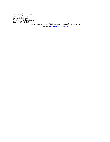LoveWorld Conference Center Kudirat Abiola Way, Oregun, Ikeja, Lagos P.O. Box 13563 Ikeja, Lagos. Tel:+234-8023324188,

**+234-8052464131, +234-1-8925724***email: cec@christembassy.org website: [www.christembassy.org](http://www.christembassy.org/)*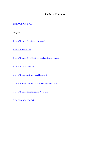#### **Table of Contents**

#### **[INTRODUCTION](#page-6-0)**

*Chapter*

1. He Will Bring You God's [Presence9](#page-8-0)

2. He Will [Teach](#page-10-0) You

3. He Will Bring You Ability To Produce [Righteousness](#page-15-0)

4. He Will [Give](#page-19-0) You Rest

5. He Will [Restore,](#page-21-0) Renew And Refresh You

6. He Will Turn Your [Wilderness](#page-26-0) Into A Fruitful Place

7. He Will Bring [Excellence](#page-30-0) Into Your Life

8. Be Filled With The [Spirit!](#page-37-0)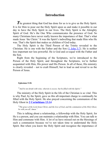### **Introduction**

<span id="page-6-0"></span>The greatest thing that God has done for us is to give us the Holy Spirit. It is for Him to pour out the Holy Spirit upon us and make it possible in our day to have the Holy Spirit in our lives. The Holy Spirit is the Almighty Spirit of God. He's the One Who communicates the presence of God. So many Christians have never really known the importance of that. That's what made Jesus 'the Christ.' It was the Spirit's indwelling that made Him who He was. That's the Spirit that makes us children of God today.

The Holy Spirit is the Third Person of the Trinity revealed to the Christian. He is one with the Father and the Son (1 [John](#page-37-1) 5:7). He is neither less important nor less powerful. He is God and co-equal with the Father and the Son.

Right from the beginning of the Scriptures, we're introduced to the Person of the Holy Spirit; and throughout the Scriptures, we're further acquainted with Him, His power and His Person. In all of these, His ministry is clearly revealed – not to exalt Himself, but to lead us and reveal to us the Person of Jesus.

#### **Ephesians 5:18:**

"*And be not drunk with wine, wherein is excess; but be filled with the Spirit;"*

The ministry of the Holy Spirit in the life of the Christian is so vital. This is why Paul, by the Spirit, gave us this all-important charge to continually be filled with the Holy Spirit. He also prayed concerning the communion of the Holy Ghost in **2 [Corinthians](#page-37-0) 13:14**

"The grace of the Lord Jesus Christ, and the love of God, and the communion of the Holy Ghost, *be with you all. Amen."*

This is talking about a relationship, a fellowship with the Holy Spirit, for He is a person, and you can maintain a relationship with Him. You can talk to Him and commune with Him. A lot of us have missed out on the blessings of such a communion because we've not taken time to understand the Holy Spirit. But when you know the Holy Spirit and recognize the importance of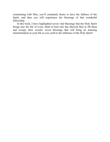communing with Him, you'll constantly desire to have the fullness of the Spirit, and then you will experience the blessings of that wonderful fellowship.

In this book, I have highlighted seven vital blessings that the Holy Spirit brings into the life of every child of God who has allowed Him to fill them and occupy their vessels; seven blessings that will bring an amazing transformation in your life as you yield to the influence of the Holy Spirit!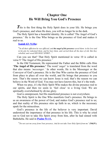## **Chapter One He Will Bring You God's Presence**

<span id="page-8-0"></span>This is the first thing the Holy Spirit does in your life. He brings you God's presence, and when He does, you will no longer be in the dark.

The Holy Spirit has a beautiful identity. He is called 'The Angel of God's presence.' He is the One Who brings us the presence of God and makes it real to us.

#### **[Isaiah](#page-39-0) 63: 9,10a:**

"In all their affliction he was afflicted, and the angel of his presence saved them: in his love and in his pity he redeemed them; and he bare them, and carried them all the days of old. But they *rebelled, and vexed HIS HOLY SPIRIT..."*

Can you see that? That Holy Spirit mentioned in verse 10 is called in verse 9 'The Angel of His presence.'

In the Old Testament, He represented the Father and the Bible calls Him **'The Angel of His presence.'** The word '*angel'* is translated from the word that also means *'messenger.'* In other words, He is the Messenger or the Conveyor of God's presence. He is the One Who carries the presence of God from place to place all over the world, and He brings that presence to you now. That's the reason we can know Jesus is real; that's the reason we can believe in the Word of God. You may not have known this, but it's the truth.

When we pray, it's the Holy Spirit Who makes the divine presence real to our spirits, and then we seem to 'feel close' to a living God. We are spiritually overwhelmed by divine glory.

God is omnipresent, but His manifested presence is not everywhere.

The Holy Spirit is the One Who manifests God's presence. He brings to us an awareness of the power of God, and makes God's presence real to us; and that reality of His presence stirs up faith in us, which is the necessary spark for the miraculous.

God's presence in the life of the believer is very important. David understood the importance of that presence in his life. This is why he cried out to God not to take His Spirit away from him, after he had sinned with Bathsheba. He said in **[Psalm](#page-37-2) 51:11,**

"*Do not cast me away from Your presence, And do not take Your Holy Spirit from me"* **(NKJV).**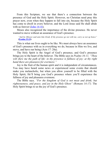From this Scripture, we see that there's a connection between the presence of God and the Holy Spirit. However, no Christian need pray this prayer now, even when they happen to fall into sin, because the Holy Spirit has come to dwell in every believer, and the Lord Jesus said He shall abide with us forever  $(John 14:16)$  $(John 14:16)$ .

Moses also recognized the importance of the divine presence. He never wanted to move without an assurance of God's presence.

*"And he (Moses) said unto him (God), If thy presence go not with me, carry us not up hence"* **([Exodus](#page-38-1) 33:15).**

This is what our lives ought to be like. We must always have an assurance of God's presence with us in everything we do, because in Him we live, and move, and have our being (Acts 17: 28a).

The Holy Spirit is the Angel of God's presence, and God's presence brings joy to the heart of the believer. The Bible says in *Psalms 16:11, "Thou wilt shew me the path of life: in thy presence is fullness of joy; at thy right hand there are pleasures for evermore."*

Joy is the fruit of the human spirit and it is independent of circumstances. You may have heard some news or experienced some events that should make you melancholic, but when you allow yourself to be filled with the Holy Spirit, He'll bring you God's presence where you'll experience the fullness of joy and pleasures evermore.

The Bible says*, "For the kingdom of God is not meat and drink; but righteousness, and peace, and joy in the Holy Ghost" (Romans 14:17).* The Holy Spirit brings to us the joy of God's presence.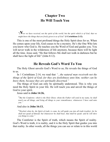## **Chapter Two He Will Teach You**

<span id="page-10-0"></span>" $N_{ow}$  we have received, not the spirit of the world, but the spirit which is of God; that we *might know the things that are freely given to us of God"* **(1 Corinthians 2:12).**

This is one of the most profound things the Holy Spirit does for us. When He comes upon your life, God ceases to be a mystery. He's the One Who lets you know who God is. He teaches you the Word of God and guides you. You will never walk in the wilderness of life anymore, because there will be light all the time. Jesus said, "He that follows Me shall not walk in darkness but he shall have the light of life" (John 8:12).

#### **He Reveals God's Word To You**

The Holy Ghost unveils God's Word to us; He reveals the things of God to us.

In 1 Corinthians 2:14, we read that *"...the natural man receiveth not the things of the Spirit of God; for they are foolishness unto him; neither can he know them, because they are spiritually discerned."*

The things of God can only be spiritually understood. This is why you need the Holy Spirit in your life. He will teach you and unveil the things of God to your spirit.

Jesus said in **John 14:26,**

"*But the Comforter, which is the Holy Ghost, whom the Father will send in my name, he shall teach you all things, and bring all things to your remembrance, whatsoever I have said unto you."*

#### And also in **John 16:13,**

"Howbeit when he, the Spirit of truth, is come, he will guide you into all truth (reality): for he *shall not speak of himself; but whatsoever he shall hear, that shall he speak: and he will shew you things to come."*

The Comforter is the Spirit of truth, which means the Spirit of reality. God's Word is truth, it is reality, and it is the Holy Spirit that guides you into that reality. In other words, all the things you can see or relate to in this world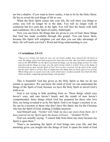are but a shadow. If you want to know reality, it has to be by the Holy Ghost. He has to reveal the real things of life to you.

When the Holy Spirit comes into your life, He will show you things to come; you will no longer be in the dark. You will no longer walk in confusion but live each day in the light. You will face the future with faith and confidence. He is the Spirit of reality, Hallelujah!

Now you can know the things that are given to you of God; those things that God has made available through His gospel. You can know them, because His Spirit will enlighten you and then you can take advantage of them. He will teach you God's Word and bring understanding to you.

#### **1 Corinthians 2:9-13:**

"But as it is written, Eye hath not seen, nor ear heard, neither have entered into the heart of *man, the things which God hath prepared for them that love him. But God hath revealed them* unto us BY HIS SPIRIT: for the Spirit searcheth all things, yea, the deep things of God. For what man knoweth the things of a man, save the spirit of man which is in him? Even so the things of God knoweth no man, but the Spirit of God. Now we have received, not the spirit of the world, but the spirit which is of God; that we might know the things that are freely given to us of God. *Which things also we speak, not in the words which man's wisdom teacheth, but which the Holy Ghost teacheth; comparing spiritual things with spiritual."*

This is beautiful! God has given us the Holy Spirit so that we do not remain in ignorance. We can know the mind of God; we can understand the things of the Spirit of God, because we have the Holy Spirit to unveil God's truth to us.

God is not trying to hide anything from us. Those things which eyes haven't seen, and ears haven't heard, and the minds of men haven't comprehended; those things which God has prepared for those who love Him, are being revealed to us by His Spirit. God is no longer a mystery to us. He can be a mystery to those who don't have His Spirit, but for the Christian who has the Spirit of God, nothing is hidden anymore.

God Himself said, *"Neither will I hide my face any more from them: for I have poured out my Spirit upon the house of Israel..."* (Ezekiel 39:29).

God was actually saying. "I cannot hide from them any more because my Spirit is upon them."

There's an anointing the Spirit of God brings into your life; and that anointing gives you insight into the things of God. It opens the mind of God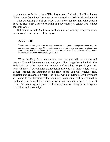to you and unveils the riches of His glory to you. God said, "I will no longer hide my face from them," because of the outpouring of His Spirit, Hallelujah!

That outpouring is still on today. I feel sorry for the man who doesn't have the Holy Spirit, for we're living in a day when you cannot live without the Holy Ghost.

But thanks be unto God because there's an opportunity today for every one to receive the fullness of the Spirit.

#### **Acts 2:17-18:**

"And it shall come to pass in the last days, saith God, I will pour out of my Spirit upon all flesh: *and your sons and your daughters shall prophesy, and your young men shall see visions, and* your old men shall dream dreams: And on my servants and on my handmaidens I will pour out in *those days of my Spirit, and they shall prophesy:"*

When the Holy Ghost comes into your life, you will see visions and dreams. You will have revelations, and you will no longer be in the dark. The Holy Spirit will show you things to come. Before things happen in your life, you will know. You will have a direction in life; you will know where you're going! Through the anointing of the Holy Spirit, you will receive ideas, direction and guidance on what to do in this world of turmoil. Divine wisdom will come to you because of the anointing. Your mind will be anointed to think and receive revelation; and you will never run short of ideas as to what to do. The anointing puts you over, because you now belong in the Kingdom of wisdom and knowledge.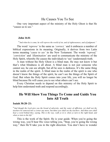## He Causes You To See

One very important aspect of the ministry of the Holy Ghost is that He "causes us to see."

#### **John 16:8:**

"*And when he is come, he will reprove the world of sin, and of righteousness, and of judgment:"*

The word *'reprove'* is the same as *'correct,'* and it embraces a number of biblical expressions in its meaning. Originally, it derives from two Latin terms meaning '*cause to see'* in the New Testament. The words *'reproof,' 'conviction'* and *'illumination'* are used to communicate the ministry of the Holy Spirit, whereby He causes the individuals to 'see' (understand) truth.

A man without the Holy Ghost is a blind man. He may not know it but that's what blindness is all about. A blind man is not just someone who cannot see, he can see alright, but all he sees is darkness. It's the same thing in the realm of the spirit. A blind man in the realm of the spirit is one who doesn't know the things of the spirit, he can't see the things of the Spirit of God. But when the Holy Spirit comes into your life, you will no longer be blind because He will cause you to see what others can't see.

Every Christian needs to depend on this ministry of the Holy Spirit to help him understand truth and respond accordingly.

## **He Will Show You Things To Come and Guide You Into All Truth**

#### **Isaiah 30:20–21:**

"And though the Lord give you the bread of adversity, and the water of affliction, yet shall not thy teachers be removed into a corner any more, but thine eyes shall see thy teachers: And thine ears shall hear a word behind thee, saying, This is the way, walk ye in it, when ye turn to the right hand, and *when ye turn to the left."*

This is the work of the Spirit. He is your guide. When you're going the wrong way, you'll hear His voice telling you, "Stop, you're going the wrong way," then He'll take you in the right direction. You don't have to wonder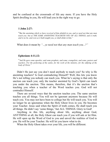and be confused at the crossroads of life any more. If you have the Holy Spirit dwelling in you, He will lead you in the right way to go.

#### **1 John 2:27:**

"But the anointing which ye have received of him abideth in you, and ye need not that any man *teach you: but as THE SAME ANOINTING TEACHETH YOU OF ALL THINGS, and is truth, and is no lie, and even as it hath taught you, ye shall abide in him."*

What does it mean by *"…ye need not that any man teach you...?"*

#### **Ephesians 4:11,12:**

"*And He gave some apostles; and some prophets; and some, evangelists; and some, pastors and teachers. For the perfecting of the saints, for the work of the ministry, for the edifying of the body of Christ."*

Didn't He just say you don't need anybody to teach you? So why is He anointing teachers? Is God contradicting Himself? Well, this lets you know He's not telling you nobody can teach you. What he's saying is that only the unction can teach you; only the teacher anointed by God's Spirit can teach you under the unction. This means, therefore, that it's the unction that's teaching you when a teacher of the Word teaches you. God will not contradict Himself.

There are several ways that the unction teaches you. The same unction teaches you all things. You will not be ignorant anymore because He will teach you. You may not have been to college but He will teach you. You will no longer be an ignoramus when the Holy Ghost lives in you. He becomes your Teacher. Jesus said when the Spirit of truth comes, He shall teach you all things. He didn't say 'some things,' but ALL THINGS. Glory to God!

Anything in this life, anything about life, anything about God, ANYTHING at all, the Holy Ghost can teach you if you will ask or let Him. He will open up the Word of God to you and unveil the realities of God to you. He will be your Teacher. He will let you know what to do.

When the Holy Ghost takes over your life, you will be different.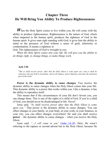## <span id="page-15-0"></span>**Chapter Three He Will Bring You Ability To Produce Righteousness**

**W**hen the Holy Spirit comes to live within you, He will come with the ability to produce righteousness. Righteousness is the nature of God, which when imparted to the human spirit, produces the rightness of God in the human spirit. It gives man right standing with God; it gives him the ability to stand in the presence of God without a sense of guilt, inferiority or condemnation. It means a rightness in

God. The righteousness of God is wrought in you.

*When the Holy Spirit comes into your life, He will give you the ability to do things right, to change things, to make things work.*

#### **Acts 1:8:**

"*But ye shall receive power, after that the Holy Ghost is come upon you: and ye shall be witnesses unto me both in Jerusalem, and in all Judaea, and in Samaria, and unto the uttermost part of the earth."*

**Power is the dynamic ability to cause changes.** You receive the dynamic ability to cause changes when the Holy Ghost comes into your life. That dynamic ability is a power that works within you. Like a dynamo, it has the ability to reproduce itself.

This means that if the circumstances of your life don't favour you, you can change them. This is one of the rights of a child of God. If you're a child of God, you should never be disadvantaged in life. Never!

Jesus said, *"Ye shall receive power after that the Holy Ghost is come upon you."* That power is the dynamic ability to cause changes. You can effect changes in your family, in your body, at your work, in your finances, in your city; you can effect changes everywhere! He said you shall receive **power** – the dynamic ability to cause changes – when you receive the Holy Ghost.

Jesus said, *"…I will come to you"* (John [14:18\)](#page-38-2). Here, He wasn't referring to the rapture or second advent but to the Holy Ghost, because He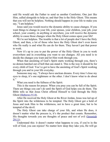said He would ask the Father to send us another Comforter, One just like Him, called alongside to help us; and that One is the Holy Ghost. This means that you will not be helpless. Nothing should happen in your life to make you say, "I am helpless."

Jesus said you would receive the dynamic ability to cause changes. If you want things to change in your life, your spouse, your children, your job, your school, your country, in anything or anywhere, you will receive the dynamic ability to cause those changes when the Holy Ghost comes upon your life!

We're not helpless. The trouble is that a lot of people don't have the Holy Ghost, and then, a lot of those who have the Holy Ghost don't even know who He really is and what He can do for them. They haven't put that power to work.

Now it's up to you to put the power of the Holy Ghost in you to work everywhere and in everything you want to see changes. All you need is to decide the changes you want and let Him work through you.

When that anointing of God's Spirit starts working through you, there's no demon hatched out of hell that can stand it. This is the way it should be for every child of God. You've got to have the anointing of God's Spirit working through you and in your life everyday.

Someone may say, "I always have unclean dreams. Every time I close my eyes to sleep, it's one nightmare or the other. I don't know what to do about it."

What you need is the fullness of the Spirit.

This is the reason for prayer. When you pray you can be full of the Spirit. There are things you can't do until the Spirit of God helps you do them. The Bible tells us that Jesus Christ offered Himself to God through the Holy Ghost ([Hebrews](#page-38-3) 9:14).

After He received the Holy Ghost at the River Jordan, Jesus was led up of the Spirit into the wilderness to be tempted. The Holy Ghost got a hold of Jesus and took Him to the wilderness, not to have a great time, but to be tempted of the devil.

The Holy Ghost can take charge of your life, and when He does, it doesn't matter what the process is, it's the product that counts. Remember, His thoughts towards you are thoughts of peace and not of evil (*Jeremiah*) 29:11).

Understand this: it doesn't matter what happens to you, if you're in the will of God, you can rejoice! No matter how deep they take you, He will go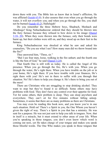down there with you. The Bible lets us know that in Israel's affliction, He was afflicted ( $\frac{\text{Isaiah } 63:9}{\text{It also assures that even when you go through the}}$ water, it will not overflow you; and when you go through the fire, you shall not be burned [\(Isaiah](#page-39-1) 43:2), Hallelujah!

Do you remember the three Hebrew boys, Shadrach, Meshach and Abednego? King Nebuchadnezzar ordered that they should be thrown into the fiery furnace [because](#page-39-2) they refused to bow down to his image (Daniel  $3:18-20$ ). When they were thrown into the furnace, only their bonds were burnt up, but their clothes were still on, and they stood up on their feet in the furnace.

King Nebuchadnezzar was shocked at what he saw and asked his counselors, "Do you see what I see? How many men did we throw bound into the fire?"

They answered him, "Three, sir."

"But I see four men, loose, walking in the fire unhurt; and the fourth one is like the Son of God," he said  $(Daniel 3:24)$  $(Daniel 3:24)$ .

That fourth One is still with us today. He is called the Angel of His presence. When you go through the fire, He's with you. When you go through the water, He's right there. When you have trouble on the job or in your home, He's right there. If you have trouble with your finances, He's right there with you! He's not in there to suffer with you through that situation. No! He's there to help you change it. He's there to bring you out of the mess!

There are Christians who are struggling to stop drinking alcohol. They want to stop but they've found it so difficult. Some others may have problems with food. They don't have any control over their appetite for food. Yet for some others, their problem is sleep. They can sleep anywhere and everywhere. They can't sit for five minutes without falling asleep. Sometimes, it seems that there are as many problems as there are Christians.

You may even be reading this book now, and you know you're in one such situation. Hold on! There's a Spirit in you, the One Whom you haven't given the right of way. There's a Spirit in you that has a ministry. He was sent for a purpose. He was not just sent to help you talk in tongues. Now, that in itself is a miracle, but it must extend to other areas of your life. When you're speaking in those tongues, you don't even know which word is coming out next, yet He takes charge of your tongue and makes you speak those blissful words. The One Who makes you speak in those tongues that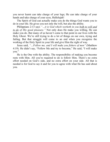you never learnt can take charge of your legs; He can take charge of your hands and take charge of your eyes, Hallelujah!

The Spirit of God can actually make you do the things God wants you to do in your life. He gives you not only the will, but also the ability.

Philippians 2:13 says *"…it is God which worketh in you both to will and to do of His good pleasure."* Not only does He make you willing, He can make you do. But many of us haven't come to that point in our lives with the Holy Ghost. We're still trying to do a lot of things on our own, trying and failing. But that struggle will come to an end when you recognize the working of the Holy Spirit in your life and give Him the right of way.

Jesus said, *"…Follow me, and I will make you fishers of men"* (Matthew 4:19). He didn't say, "Follow Me and try to become," He said, "I will make you."

He is the One with the ability. The responsibility of making you become rests with Him. All you're required to do is follow Him. There's no extra effort needed on God's side, and no extra effort on your side. All that is needed is for God to say it and for you to agree with what He has said about you.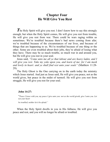## **Chapter Four He Will Give You Rest**

<span id="page-19-0"></span>The Holy Spirit will give you rest. I don't know how to say this strongly enough, but when the Holy Spirit comes, He will give you rest from trouble, He will give you rest from war. There could be wars raging within us sometimes. We're troubled because there's bad news coming from afar; we're troubled because of the circumstances of our lives, and because of things that are happening to us. We're troubled because of one thing or the other. Some are even troubled about their jobs, they're afraid of losing what they have. There may be so much trouble, so much war in and around you, but He will give you rest in your soul.

Jesus said, *"Come unto me all ye that labour and are heavy laden, and I will give you rest. Take my yoke upon you, and learn of me; for I am meek and lowly in heart: and ye shall find rest unto your souls"* (Matthew 11:28- 29).

The Holy Ghost is the One carrying on in the earth today the ministry which Jesus started. And just as Jesus said, He will give you peace, not as the world gives, but peace in the midst of turmoil. He will give you rest from struggle, He will give you rest for your soul.

#### **John 14:27:**

"Peace I leave with you, my peace I give unto you: not as the world giveth, give I unto you. Let *not your heart*

*be troubled, neither let it be afraid."*

When the Holy Spirit dwells in you in His fullness, He will give you peace and rest, and you will no longer be afraid or troubled.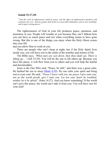#### **Isaiah 32:17,18:**

"*And the work of righteousness shall be peace; and the ef ect of righteousness quietness and assurance for ever. And my people shall dwell in a peaceable habitation, and in sure dwellings, and in quiet resting places;"*

The righteousness of God in your life produces peace, quietness, and assurance in you. People will wonder at you because they can't fathom how you can have so much peace and rest when everything seems to have gone wrong. But this is one of the things you enjoy when the Holy Ghost comes into your life

and you allow Him to work in you.

There are people who can't sleep at night, but if the Holy Spirit lives inside you, you will have rest in the midst of the troubles and storms of life.

The Bible says, *"When men are cast down, then thou shalt say, There is lifting up…"* (Job 22:29). You will be the one to lift others up. Because you have His peace, it will flow from you to others and you will help the fearful and downtrodden.

Jesus is the One Who said, "Peace, be still," and there was a great calm. He hushed the sea to sleep  $(Mark 4:39)$  $(Mark 4:39)$ . He can calm your spirit and bring rest to your soul. He said, *"Peace I leave with you, my peace I give unto you: not as the world giveth, give I unto you. Let not your heart be troubled, neither let it be afraid"* (John 14:27). And you know something? If the world can't give this peace, the world can't take it from you. You will have rest for your soul!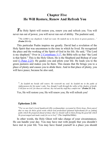## <span id="page-21-0"></span>**Chapter Five He Will Restore, Renew And Refresh You**

The Holy Spirit will restore you, renew you and refresh you. You will never run out of power, you will never run out of ability. The psalmist said,

"*The LORD is my shepherd; I shall not want. He maketh me to lie down in green pastures..."* **(Psalm 23:1-2).**

This particular Psalm inspires me greatly. David had a revelation of the Holy Spirit that was uncommon to the time in which he lived. He recognized the place and the working of the Spirit of God in his life. He said, "The Lord is my shepherd." Over in  $2$  [Corinthians](#page-40-0)  $3:17$ , the Bible tells us that "the Lord" is that Spirit." This is the Holy Ghost, He is the Shepherd and Bishop of your soul  $(1$  [Peter](#page-40-1) 2:25). He guides you and pilots your life. He leads you to the green pastures and makes you lie there. This means that He brings you to a place of plenty and causes you to abide there. And in that place of plenty, you will have peace, because he also said,

"*...he leadeth me beside still waters. He restoreth my soul: he leadeth me in the paths of righteousness for his name's sake. Yea, though I walk through the valley of the shadow of death,* I will fear no evil: for thou art with me; thy rod and thy staff they comfort me" (Psalm 23: 2-4).

Yes, He will restore you; He will renew you; He will refresh you!

#### **Ephesians 2:10:**

"*For we are God's [own] handiwork (His workmanship), recreated in Christ Jesus, [born anew] that we may do those good works which God predestined (planned beforehand) for us [taking paths which He prepared ahead of time], that we should walk in them [living the good life which He prearranged and made ready for us to live]"* (The Amplified Bible).

In other words, the Holy Ghost will take charge of your circumstances. He can handle your day. You may have met with people that you shouldn't have met in your life. You may have found yourself in a place you should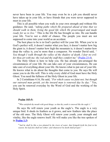never have been in your life. You may even be in a job you should never have taken up in your life, or have friends that you were never supposed to meet in your life.

This is all possible when you walk in your own strength and without His guidance. He said, *"taking paths which He prepared ahead of time that we should walk in them, living the good life which He prearranged and made ready for us to live."* This is the life He has brought us into. He can handle your life. You're not a child of chance. The people you meet are not supposed to come into your world as an accident.

The best place to be is in God's perfect will for your life. When you're in God's perfect will, it doesn't matter what you face; it doesn't matter how big the giant is; it doesn't matter how high the mountain is; it doesn't matter how deep the valley is, you're more than a conqueror. No wonder David said, *" Yea though I walk through the valley of the shadow of death, I fear no evil: for thou art with me; thy rod and thy staff they comfort me*" ([Psalm](#page-40-2) 23:4).

The Holy Ghost is here to help you. He has already pre-arranged the circumstances of your life. He can take care of your circumstances, He can take care of everything about your life. He knows what to put out of your life. He knows what to do about the thoughts that come to you. He says He will cause you to do His will. This is why every child of God must have the Holy Ghost. You need the fullness of the Holy Ghost in your life.

In 2 Corinthians 4:16, He said, *"For which cause we faint not; but though our outward man perish, yet the inward man is renewed day by day."* Yes, you can be renewed everyday by the Word of God and the working of the Holy Spirit.

#### **Psalm 103:5:**

"*Who satisfieth thy mouth with good things; so that thy youth is renewed like the eagle's."*

He says He will renew your youth as the eagle's. The eagle is a very unique bird. It sheds its feathers as it grows, and new feathers take the place of the old ones. The Holy Ghost will renew your youth, your strength and vitality, like the eagle renews itself. He will make you like the tree spoken of in **[Psalm](#page-40-3) 1:3:**

"And he shall be like a tree planted by the rivers of water, that bringeth forth his fruit in his *season; his leaf also shall not wither; and whatsoever he doeth shall prosper."*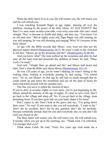When the Holy Spirit lives in you, He will restore you, He will renew you and He will refresh you.

I was watching Kenneth Hagin at age eighty, dancing all over the platform, running by the power of the Holy Ghost. AT AGE EIGHTY! But then I've seen some seventy-year-olds, even sixty-year-olds who can't stand straight. They've become so feeble and shaky, and they say, "You know I'm an old man now." But at eighty years old, Papa Hagin was still running, he was still jumping, he was still shouting and singing! Why? It's because of the Holy Ghost!

At age 120, the Bible records that Moses' eyes were not dim nor his physical stature abated [\(Deuteronomy](#page-40-4) 34:7). He wasn't ready to die. God had to tell him, "Moses, go up the mountain and die!" ([Deuteronomy](#page-41-0) 32:48-50).

And you know what? The man walked up the mountain and after he had seen all the land God had promised the children of Israel, he said, "Okay Lord, I'm ready."

God said, "Alright then, go ahead and die" and Moses laid down and died. That's what the Bible says about Moses [\(Deuteronomy](#page-41-1) 34:1-5).

He was 120 years of age, yet he wasn't shaking, he wasn't sitting in the rocking chair, looking at everybody passing by and saying, "I'm retired now." No sir, not Moses! At that age he still had so much strength that he could climb up and down the mountains and see all the land of Israel for miles and miles around with his unaided eyes.

The One you serve is called the Ancient of days.

If you're alive at seventy, eighty or even more, you're just beginning in life. Moses started his ministry at the age of eighty. It's time to serve God. Don't go back to the village and sleep off. No, if you go back to the village, keep preaching Jesus. If you have gray hair on your head, shake it for Jesus!

Don't expect to die. Don't look at the grave and say, "I'm going down there soon." No way! If you want to die, you tell everybody, "I want to die." Don't die by accident, don't die by any gunshot, don't die for anybody, because somebody already died for you and everybody else, so you don't die until you choose to die.

The Holy Spirit will restore you, He will renew you, He will refresh you. Everyday when you get up in the morning, say, "Thank God, I'm refreshed, I'm stronger than ever!"

Think about Caleb. He said, "Forty five years ago God made me a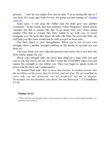promise…" now he was eighty-five, but he said, "I'm as strong this day as I was forty five years ago, both for war, for going out and coming in" (*Joshua*) [14:6-13\).](#page-42-0)

Jesus said, "I will pray the Father and He shall give you another Comforter." In the Greek, that was rendered "Allos Parakletos" which means "another one that is exactly like Me, to go along with you." Jesus meant another One that is exactly like Him, called to go with you, to travel alongside you. He looks like Jesus, He talks like Him, He loves like Him. He will help you like Jesus would and be with you just as Jesus said.

The Holy Spirit is your Strengthener. When you're out of your own strength, there's another strength working on the inside of you that you can draw on.

You may think you can't take the pressure any more, but if you have the Holy Ghost, happy are you.

When your strength fails, the devil may think he's done with you and you're out, but you're not out, for that's when the STANDBY takes over and causes His strength to rise within you. Then you begin to speak words of power and the devil can't understand it.

No wonder Paul said, *"But we have this treasure in earthen vessels, that the excellency of the power may be of God, and not of us. We are troubled on every side, yet not distressed; we are perplexed, but not in despair; Persecuted, but not forsaken; cast down, but not destroyed;"* (2 Corinthians 4:7-9).

#### **Psalms 16:11:**

"Thou wilt shew me the path of life: in thy presence is fulness of joy; at thy right hand there are *pleasures for evermore."*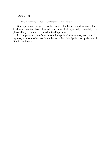#### **Acts 3:19b:**

"*...times of refreshing shall come from the presence of the Lord;"*

God's presence brings joy to the heart of the believer and refreshes him. It doesn't matter how drained you may feel spiritually, mentally or physically, you can be refreshed in God's presence.

In His presence there's no room for spiritual drowsiness, no room for dryness, no room to be cast down, because the Holy Spirit stirs up the joy of God in our hearts.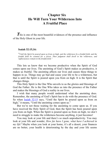## <span id="page-26-0"></span>**Chapter Six He Will Turn Your Wilderness Into A Fruitful Place**

This is one of the most beautiful evidences of the presence and influence of the Holy Ghost in your life.

#### **Isaiah 32:15,16:**

"Until the Spirit be poured upon us from on high, and the wilderness be a fruitful field, and the *fruitful field be counted for a forest. Then judgment shall dwell in the wilderness, and righteousness remain in the fruitful field."*

This lets us know that we become productive when the Spirit of God comes upon our lives. The anointing of God's Spirit makes us productive, it makes us fruitful. The anointing affects our lives and causes these things to happen in us. Things may go bad and cause your life to be a wilderness, but that is until the Spirit is poured upon you from on high. It is the Spirit that changes things.

This Holy Spirit is the One Who unveils to us the glories and blessings of God the Father. He is the One Who takes us into the presence of the Father and makes the blessings of God a reality in our lives.

I wish that many people would understand what the anointing does. Remember, the anointing of God's Spirit has to do with the presence of God. So when [Isaiah](#page-43-0) 32:15 says, "Until the Spirit be poured upon us from on high," it means, "Until the anointing comes upon us."

But we're not those waiting for the anointing to come upon us. If you have received the Holy Spirit of God, then the Spirit has been poured upon you from on high. When the Spirit is poured upon us from on high, we don't need to struggle to make the wilderness become anything, it just becomes!

You may look at your life and there's so much unproductivity. You may look at your life and wonder, *How far have I gone, what have I achieved in my life?* Maybe when you look at your home, it's all a desert, your finances are no better, your health is deteriorating by the day and your life seems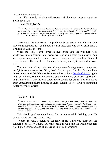unproductive in every way.

Your life can only remain a wilderness until there's an outpouring of the Spirit upon you.

#### **Isaiah 32:13,14,15a:**

"Upon the land of my people shall come up thorns and briers; yea, upon all the houses of joy in the joyous city: Because the palaces shall be forsaken; the multitude of the city shall be left; the forts and the towers shall be for dens for ever, a joy of wild asses, a pasture of flocks; UNTIL *THE SPIRIT BE POURED UPON US FROM ON HIGH..."*

There could be dryness and unproductivity in every way, the situation may be as hopeless as it could ever be. But these can only go on until there's a release of God's presence.

When the Holy Ghost comes to live inside you, He will turn your wilderness into a fruitful field; water will spring up from your desert. You will experience productivity and growth in every area of your life. You will move forward. There will be a bursting forth on your right hand and on your left.

You may be thinking right now, *I'm not experiencing dryness in my life; my life is not unproductive.* Well, thank God for you. But there's something better. **Your fruitful field can become a forest.** Read Isaiah [32:15-16](#page-43-1) again and you will observe this. This means you can be more productive spiritually and financially. Your life can affect more people for Jesus. You can move from experiencing divine healing to divine health. There's always something better for you in Christ!

#### **Isaiah 44:2-4:**

"*Thus saith the LORD that made thee, and formed thee from the womb, which will help thee; Fear not, O Jacob, my servant; and thou, Jeshurun, whom I have chosen. For I will pour water* upon him that is thirsty, and floods upon the dry ground: I will pour my spirit upon thy seed, and my blessing upon thine offspring: And they shall spring up as among the grass, as willows by the *water courses."*

This should gladden your heart. God is interested in helping you. He wants to help you lead a better life.

"Water" in verse 3 refers to the Holy Spirit. When you thirst for the fullness of the Holy Ghost, you will receive it. God said He would pour His Spirit upon your seed, and His blessing upon your offspring.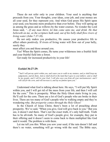These do not refer only to your children. Your seed is anything that proceeds from you. Your thoughts, your ideas, your job, and your money are all your seed, for they represent you. And when God pours His Spirit upon your seed, you become more productive than ever before. They will spring up as among the grass and as willows by the water courses. No wonder the Lord Jesus said, *"...If any man thirst, let him come unto me, and drink. He that believeth on me, as the scripture hath said, out of his belly shall flow rivers of living water (John 7:37-38).*

He not only makes you productive, He causes your productive life to affect others positively. If rivers of living water will flow out of your belly, surely they

must affect you and those around you.

Yes! When the Spirit comes, He turns your wilderness into a fruitful field and your fruitful field into a forest.

Get ready for increased productivity in your life!

#### **Ezekiel 36:27-29:**

And I will put my spirit within you, and cause you to walk in my statutes, and ye shall keep my judgements, and do them. And ye shall dwell in the land that I gave to your fathers; and ye shall be my people, and I will be your God. I will also save you from all your uncleannesses: and I *will call for the corn, and will increase it, and lay no famine upon you."*

Understand what God is talking about here. He says, "I will put My Spirit within you, and I will get rid of the mess from your life, and then I will call for the corn." This is prosperity. When the Holy Ghost starts living in you, He'll call for the corn. There are a lot of God's people who are broke in their lives. There are too many of God's people who're walking empty and they're wondering why. *But prosperity comes through the Holy Ghost!*

In the Church of Jesus Christ, there's been a lot of preaching about prosperity. We've said, "When you give, God will give back to you." But you see, it doesn't end there. That's not the exact truth, it's only half-truth. Truth has to be all-truth. So many of God's people give; for example, they put in their offering and it doesn't seem to come back to them multiplied like God said it would. The problem is with them.

Let me tell you this: When you sow your seed, if the rain doesn't fall and there's no water, something will go wrong with the seed. The Bible says,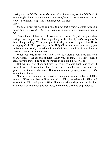*"Ask ye of the LORD rain in the time of the latter rain; so the LORD shall make bright clouds, and give them showers of rain, to every one grass in the field"* (Zechariah 10:1). This is talking about the Holy Ghost!

*When you sow your seed and give to God, if it's going to come back, it's going to be as a result of the rain, and your prayer is what makes the rain to fall.*

This is the mistake a lot of Christians have made. They do not pray, they just give and they expect. That's gambling in the Church, that's using God's Word for gambling! When you give to God, you must recognize that He is Almighty God. Then you pray in the Holy Ghost and water your seed; you believe in your seed; you believe in the God that brings it back; you believe there's a harvest from your seed.

When you pray in the Holy Ghost, you're watering your seed and your heart, which is the ground of faith. When you do that, you'll have such a great harvest, there'll be no room enough to take it all, praise God!

But we just wait there and say it's going to come back, and when it doesn't, we feel frustrated. There's no difference between that and the gambler out there on the street. But when you start praying about it, that's where the difference is.

God is not a computer; He's a rational being and we must relate with Him as such. When we give to Him, we talk to Him, we relate with Him and expect from Him and pray to Him. There's a relationship involved in this. But when that relationship is not there, there would certainly be problems.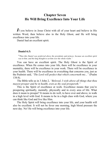## <span id="page-30-0"></span>**Chapter Seven He Will Bring Excellence Into Your Life**

*I*<sup>f</sup> you believe in Jesus Christ with all of your heart and believe in His written Word, then believe also in the Holy Ghost, and He will bring excellence into your life.

Daniel had an excellent spirit.

#### **Daniel 6:3:**

"*Then this Daniel was preferred above the presidents and princes, because an excellent spirit was in him; and the king thought to set him over the whole realm."*

You can have an excellent spirit. The Holy Ghost is the Spirit of excellence. When He comes into your life, there will be excellence in your mentality, there will be excellence in your work. There will be excellence in your health. There will be excellence in everything that concerns you, just as the Psalmist said, *"The Lord will perfect that which concerneth me..."* (Psalm 138:8).

The Bible tells us in 3 John 2, *"Beloved, I wish above all things that thou mayest prosper and be in health, even as thy soul prospereth."*

This is the Spirit of excellence at work. Excellence means that you're prospering spiritually, mentally, physically and in every area of life. What does it mean to prosper? It means to do well, to have over and above, to walk in a high level with God. It means to be in a high class with God, where you can think like God and live like Him.

The Holy Spirit will bring excellence into your life, and your health will also be excellent. It will not be fever one morning, high blood pressure the next day. No! He will bring excellence into your life.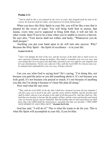#### **Psalm 1:3:**

And he shall be like a tree planted by the rivers of water, that bringeth forth his fruit in his *season; his leaf also shall not wither; and whatsoever he doeth shall prosper."*

When you have this Holy Spirit in your life, you will be like a tree that is planted by the rivers of water. You will bring forth fruit in season, that means, every time you're supposed to bring forth fruit, it will not fail. In other words, there'll never be a time when you're unable to receive a harvest. He says also, "Your leaves shall not wither, and lastly, "Whatsoever you do shall prosper."

Anything you put your hand upon to do will turn into success. Why? Because the Holy Spirit – the Spirit of excellence – is in your life.

#### **Ezekiel 36:30-32***:*

"And I will multiply the fruit of the tree, and the increase of the field, that ye shall receive no *more reproach of famine among the heathen. Then shall ye remember your own evil ways, and your doings that were not good, and shall lothe yourself in your own sight for your iniquities and* for your abominations. Not for your sakes do I this, saith the Lord GOD, be it known unto you: *be ashamed and confounded for your own ways, O house of Israel."*

Can you see what God is saying here? He's saying, "I'm doing this, not because you paid the price or you did something about it. It's not because you look good; it's not because you prayed so much; it's not because of anything you did, but I'm doing it because it's been My plan all along."

Now read what He says next:

"Thus saith the Lord GOD; In the day that I shall have cleansed you from all your iniquities I will also cause you to dwell in the cities, and the wastes shall be builded. And the desolate land shall be tilled, whereas it lay desolate in the sight of all that passed by. And they shall say, This *land that was desolate is become like the garden of Eden; and the waste and desolate and ruined cities are become fenced, and are inhabited. Then the heathen that are left round about you shall know that I the LORD build the ruined places, and plant that that was desolate: I THE LORD HAVE SPOKEN IT, AND I WILL DO IT."* **(Ezekiel 36:33-36).**

God has said, "I will do it!" This is what He wants to do for you. This is what His Spirit will accomplish in your life, if you let Him.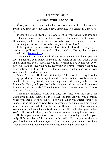## **Chapter Eight Be Filled With The Spirit!**

*E*very one that has come to God and is born again must be filled with the Spirit. You must have the Holy Spirit, otherwise, you cannot live the Godlife.

If you've not received the Holy Ghost, lift up your hands right now and say, "Father, I receive the Holy Ghost. I receive Him into my spirit, I receive Him into my soul, I receive Him into my body, I receive Him into every fibre of my being, every bone of my body, every cell of my blood!"

If the Spirit of Him that raised up Jesus from the dead dwells in you, He that raised up Christ from the dead shall also quicken, (that is, vitalize), your mortal body ([Romans](#page-43-2) 8:11).

This is Paul's recipe for health. If you had trouble in your body, you will say, "Father, this body is now yours, it is the temple of the Holy Ghost. Come and dwell in this body." And I tell you if He comes to live within you, every devil will have to leave your body, every pain will have to vacate your body, every infirmity will have to go. It doesn't matter what's gone wrong with your body, this is what you need.

When Paul said, "Be filled with the Spirit," he wasn't referring to water rising up, what he meant brings to mind John the Baptist's words when the people told him they found Jesus baptizing. John said "I told you before that I'm not the Christ; I told you that He is before me and the latchet of His shoes I'm not worthy to untie." Then he said, *"He must increase but I must decrease"* [\(John](#page-44-0) 3:30).

This is the principle. When Paul said, "Be filled with the Spirit," he wanted you to know that God is in you. Let Him increase while you decrease. When you speak, let it be the voice of God. When you stretch forth your hand, let it be the hand of God. Don't see yourself as a mere man but as one who is born of God and filled with Him. Let Him increase; let His divinity in you increase and your humanity decrease. Be filled with the Spirit. When you're filled with the Spirit, there's boldness because divinity has increased!

He is in you, not as a cloud, not as some water moving around in your belly; He's not a ball of fire burning on the inside. He is in you, working in you, looking through your eyes, talking through your mouth, touching through your hands, walking with your legs and living in your body!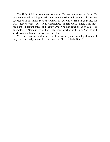The Holy Spirit is committed to you as He was committed to Jesus. He was committed to bringing Him up, training Him and seeing to it that He succeeded in His ministry to the Father. If you will let Him in your life, He will succeed with you. He is experienced in His work. There's no new problem He cannot solve, and there's One Who has gone ahead of us as our example. His Name is Jesus. The Holy Ghost worked with Him. And He will work with you too, if you will only let Him.

Yes, these are seven things He will perfect in your life today if you will only let Him, and you will let Him now. Be filled with the Spirit!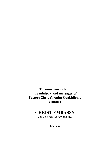**To know more about the ministry and messages of Pastors Chris & Anita Oyakhilome contact:**

## **CHRIST EMBASSY**

*aka* Believers' LoveWorld Inc.

**London:**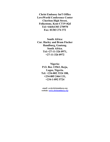**Christ Embassy Int'l Office LoveWorld Conference Center Cheriton High Street, Folkestone, Kent CT19 4QJ Tel:+44(0)1303 270970 Fax: 01303 274 372**

**South Africa: Cnr. Harley and Bram Fischer Randburg, Gauteng. South Africa. Tel:+27-11-326 0971, +27-11-326 0972**

> **Nigeria: P.O. Box 13563, Ikeja, Lagos, Nigeria. Tel: +234-802 3324 188, +234-805 2464 131, +234-1-892 5724**

*email: cec@christembassy.org website: [www.christembassy.org](http://www.christembassy.org/)*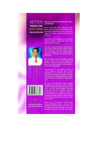

#### **Have you received the Holy Spirit since** vou believed?

Enter a whole new world of discovery of the person of the Holy Spirit and the fullness of the blessings He brings into your life in this revised edition of the classic 7 things the Holy Spirit will do for you.

Learn how to take advantage of his awesome presence, ministry & fellowship and live the supernatural life every day!



Through an anointed ministry spanning more than 30 years, pastor, teacher, healing minister, television host, and best-selling author Chris Oyakhilome, PhD, has helped millions experience a victorious and purposeful life in God's Word.

He is the author of several bestsellers including "None of These Diseases" and "Rhapsody of Realities," which he co-authors with his wife, Pastor Anita. His teachings are also available in all audio and video formats.

Presiding over an ever-widening network of Christ Embassy Churches and campus fellowships on five continents, Rev. Chris also pastors one of the largest congregations in Africa. He holds massive teaching and healing crusades with crowds of over 3.5 million in a single night's event.



**LoveWorld Publishing** www.cbristembassy.org

The scope of his television ministry extends throughout the world with several LoveWorld satellite television networks from Nigeria, South Africa and the United Kingdom delivering qualitative and life-changing Christian programming to a global audience. He is also the host of "Atmosphere for Miracles," a programme on major television networks around the world that brings God's divine presence right into your home.

Pastor Chris is the founder of the worldrenowned Healing School, a ministry that manifests the healing works of Jesus Christ and has helped many receive healings and miracles through the operation of the gifts of the Spirit.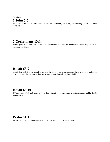**Scriptures 1 John 5:7**

<span id="page-37-1"></span>7For there are three that bear record in heaven, the Father, the Word, and the Holy Ghost: and these three are one.

## **2 Corinthians 13:14**

<span id="page-37-0"></span>14The grace of the Lord Jesus Christ, and the love of God, and the communion of the Holy Ghost, be with you all. Amen.

## **Isaiah 63:9**

9In all their affliction he was afflicted, and the angel of his presence saved them: in his love and in his pity he redeemed them; and he bare them, and carried them all the days of old.

## **Isaiah 63:10**

10But they rebelled, and vexed his holy Spirit: therefore he was turned to be their enemy, and he fought against them.

## **Psalm 51:11**

<span id="page-37-2"></span>11Cast me not away from thy presence; and take not thy holy spirit from me.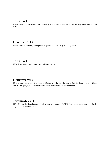## **John 14:16**

<span id="page-38-0"></span>16And I will pray the Father, and he shall give you another Comforter, that he may abide with you for ever;

## **Exodus 33:15**

<span id="page-38-1"></span>15And he said unto him, If thy presence go not with me, carry us not up hence.

### **John 14:18**

<span id="page-38-2"></span>18I will not leave you comfortless: I will come to you.

## **Hebrews 9:14**

<span id="page-38-3"></span>14How much more shall the blood of Christ, who through the eternal Spirit offered himself without spot to God, purge your conscience from dead works to serve the living God?

## **Jeremiah 29:11**

<span id="page-38-4"></span>11For I know the thoughts that I think toward you, saith the LORD, thoughts of peace, and not of evil, to give you an expected end.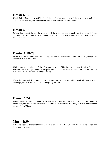## **Isaiah 63:9**

<span id="page-39-0"></span>9In all their affliction he was afflicted, and the angel of his presence saved them: in his love and in his pity he redeemed them; and he bare them, and carried them all the days of old.

## <span id="page-39-1"></span>**Isaiah 43:2**

2When thou passest through the waters, I will be with thee; and through the rivers, they shall not overflow thee: when thou walkest through the fire, thou shalt not be burned; neither shall the flame kindle upon thee.

## <span id="page-39-2"></span>**Daniel 3:18-20**

18But if not, be it known unto thee, O king, that we will not serve thy gods, nor worship the golden image which thou hast set up.

19Then was Nebuchadnezzar full of fury, and the form of his visage was changed against Shadrach, Meshach, and Abednego: therefore he spake, and commanded that they should heat the furnace one seven times more than it was wont to be heated.

20And he commanded the most mighty men that were in his army to bind Shadrach, Meshach, and Abednego, and to cast them into the burning fiery furnace.

## **Daniel 3:24**

<span id="page-39-3"></span>24Then Nebuchadnezzar the king was astonished, and rose up in haste, and spake, and said unto his counsellors, Did not we cast three men bound into the midst of the fire? They answered and said unto the king, True, O king.

## **Mark 4:39**

<span id="page-39-4"></span>39And he arose, and rebuked the wind, and said unto the sea, Peace, be still. And the wind ceased, and there was a great calm.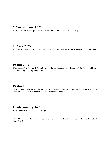## **2 Corinthians 3:17**

<span id="page-40-0"></span>17Now the Lord is that Spirit: and where the Spirit of the Lord is, there is liberty.

## **1 Peter 2:25**

<span id="page-40-1"></span>25For ye were as sheep going astray; but are now returned unto the Shepherd and Bishop of your souls.

## **Psalm 23:4**

<span id="page-40-2"></span>4Yea, though I walk through the valley of the shadow of death, I will fear no evil: for thou art with me; thy rod and thy staff they comfort me.

## <span id="page-40-3"></span>**Psalm 1:3**

3And he shall be like a tree planted by the rivers of water, that bringeth forth his fruit in his season; his leaf also shall not wither; and whatsoever he doeth shall prosper.

## **Deuteronomy 34:7**

<span id="page-40-4"></span>View commentary related to this passage

7And Moses was an hundred and twenty years old when he died: his eye was not dim, nor his natural force abated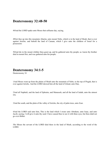## **Deuteronomy 32:48-50**

<span id="page-41-0"></span>48And the LORD spake unto Moses that selfsame day, saying,

49Get thee up into this mountain Abarim, unto mount Nebo, which is in the land of Moab, that is over against Jericho; and behold the land of Canaan, which I give unto the children of Israel for a possession:

50And die in the mount whither thou goest up, and be gathered unto thy people; as Aaron thy brother died in mount Hor, and was gathered unto his people:

## **Deuteronomy 34:1-5**

<span id="page-41-1"></span>Deuteronomy 34

1And Moses went up from the plains of Moab unto the mountain of Nebo, to the top of Pisgah, that is over against Jericho. And the LORD shewed him all the land of Gilead, unto Dan,

2And all Naphtali, and the land of Ephraim, and Manasseh, and all the land of Judah, unto the utmost sea,

3And the south, and the plain of the valley of Jericho, the city of palm trees, unto Zoar.

4And the LORD said unto him, This is the land which I sware unto Abraham, unto Isaac, and unto Jacob, saying, I will give it unto thy seed: I have caused thee to see it with thine eyes, but thou shalt not go over thither.

5So Moses the servant of the LORD died there in the land of Moab, according to the word of the LORD.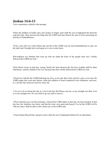## **Joshua 14:6-13**

<span id="page-42-0"></span>View commentary related to this passage

6Then the children of Judah came unto Joshua in Gilgal: and Caleb the son of Jephunneh the Kenezite said unto him, Thou knowest the thing that the LORD said unto Moses the man of God concerning me and thee in Kadeshbarnea.

7Forty years old was I when Moses the servant of the LORD sent me from Kadeshbarnea to espy out the land; and I brought him word again as it was in mine heart.

8Nevertheless my brethren that went up with me made the heart of the people melt: but I wholly followed the LORD my God.

9And Moses sware on that day, saying, Surely the land whereon thy feet have trodden shall be thine inheritance, and thy children's for ever, because thou hast wholly followed the LORD my God.

10And now, behold, the LORD hath kept me alive, as he said, these forty and five years, even since the LORD spake this word unto Moses, while the children of Israel wandered in the wilderness: and now, lo, I am this day fourscore and five years old.

11As yet I am as strong this day as I was in the day that Moses sent me: as my strength was then, even so is my strength now, for war, both to go out, and to come in.

12Now therefore give me this mountain, whereof the LORD spake in that day; for thou heardest in that day how the Anakims were there, and that the cities were great and fenced: if so be the LORD will be with me, then I shall be able to drive them out, as the LORD said.

13And Joshua blessed him, and gave unto Caleb the son of Jephunneh Hebron for an inheritance.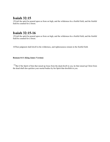## **Isaiah 32:15**

<span id="page-43-0"></span>15Until the spirit be poured upon us from on high, and the wilderness be a fruitful field, and the fruitful field be counted for a forest.

## **Isaiah 32:15-16**

15Until the spirit be poured upon us from on high, and the wilderness be a fruitful field, and the fruitful field be counted for a forest.

16Then judgment shall dwell in the wilderness, and righteousness remain in the fruitful field.

#### <span id="page-43-2"></span>**Romans 8:11 (King James Version)**

<span id="page-43-1"></span> $11<sub>B</sub>$ ut if the Spirit of him that raised up Jesus from the dead dwell in you, he that raised up Christ from the dead shall also quicken your mortal bodies by his Spirit that dwelleth in you.